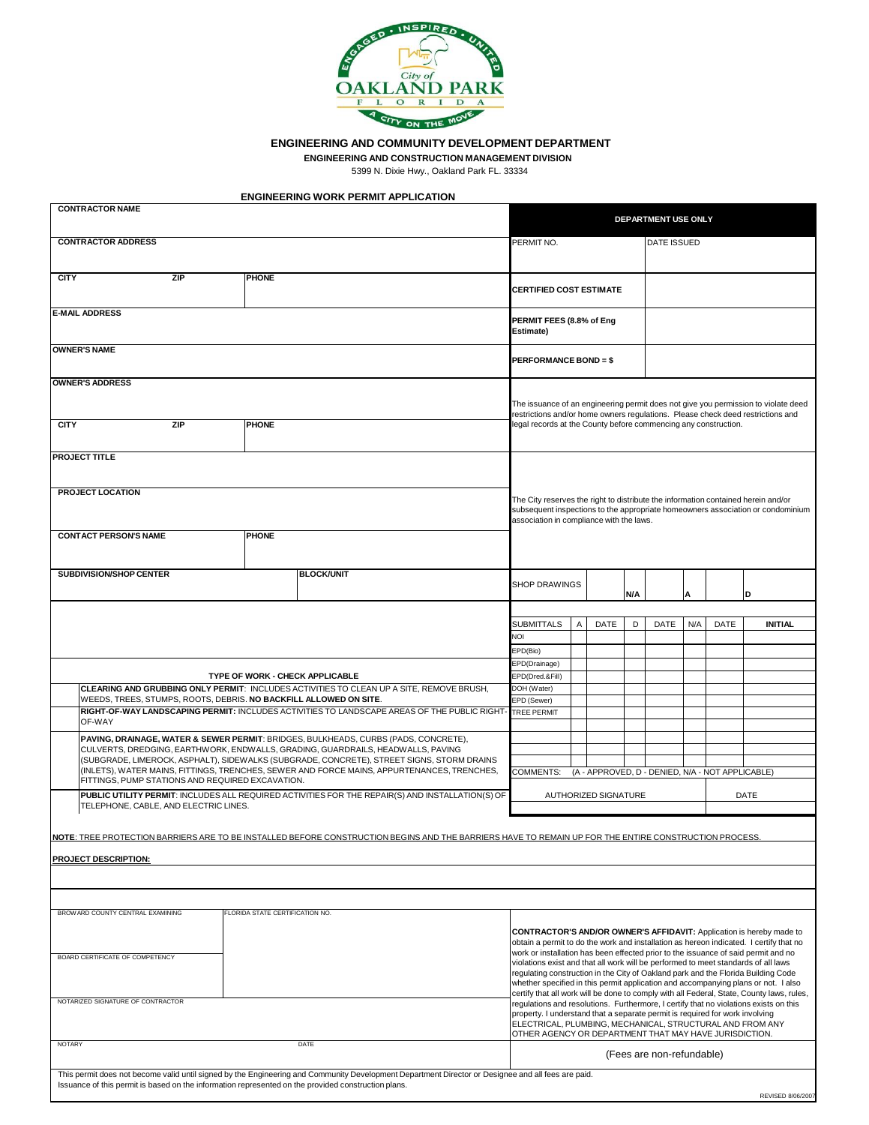

**ENGINEERING AND COMMUNITY DEVELOPMENT DEPARTMENT**

**ENGINEERING AND CONSTRUCTION MANAGEMENT DIVISION**

5399 N. Dixie Hwy., Oakland Park FL. 33334

| <b>ENGINEERING WORK PERMIT APPLICATION</b> |  |  |
|--------------------------------------------|--|--|
|                                            |  |  |

| <b>CONTRACTOR NAME</b>                                                  |                                                                                                                                                                              |  |                                 |                                        | DEPARTMENT USE ONLY                                                                                                                                                                                                                                                                                                                                                                                                                                                                                                          |                                                                                                                                                                                                                                          |                                                                      |                              |             |     |             |     |             |                   |  |
|-------------------------------------------------------------------------|------------------------------------------------------------------------------------------------------------------------------------------------------------------------------|--|---------------------------------|----------------------------------------|------------------------------------------------------------------------------------------------------------------------------------------------------------------------------------------------------------------------------------------------------------------------------------------------------------------------------------------------------------------------------------------------------------------------------------------------------------------------------------------------------------------------------|------------------------------------------------------------------------------------------------------------------------------------------------------------------------------------------------------------------------------------------|----------------------------------------------------------------------|------------------------------|-------------|-----|-------------|-----|-------------|-------------------|--|
| <b>CONTRACTOR ADDRESS</b>                                               |                                                                                                                                                                              |  |                                 |                                        | PERMIT NO.<br><b>DATE ISSUED</b>                                                                                                                                                                                                                                                                                                                                                                                                                                                                                             |                                                                                                                                                                                                                                          |                                                                      |                              |             |     |             |     |             |                   |  |
|                                                                         |                                                                                                                                                                              |  |                                 |                                        |                                                                                                                                                                                                                                                                                                                                                                                                                                                                                                                              |                                                                                                                                                                                                                                          |                                                                      |                              |             |     |             |     |             |                   |  |
| <b>CITY</b>                                                             | <b>ZIP</b><br><b>PHONE</b>                                                                                                                                                   |  |                                 |                                        | <b>CERTIFIED COST ESTIMATE</b>                                                                                                                                                                                                                                                                                                                                                                                                                                                                                               |                                                                                                                                                                                                                                          |                                                                      |                              |             |     |             |     |             |                   |  |
|                                                                         | <b>E-MAIL ADDRESS</b>                                                                                                                                                        |  |                                 |                                        |                                                                                                                                                                                                                                                                                                                                                                                                                                                                                                                              |                                                                                                                                                                                                                                          | PERMIT FEES (8.8% of Eng<br><b>Estimate)</b>                         |                              |             |     |             |     |             |                   |  |
|                                                                         | <b>OWNER'S NAME</b>                                                                                                                                                          |  |                                 |                                        |                                                                                                                                                                                                                                                                                                                                                                                                                                                                                                                              |                                                                                                                                                                                                                                          |                                                                      |                              |             |     |             |     |             |                   |  |
|                                                                         |                                                                                                                                                                              |  |                                 |                                        |                                                                                                                                                                                                                                                                                                                                                                                                                                                                                                                              |                                                                                                                                                                                                                                          |                                                                      | <b>PERFORMANCE BOND = \$</b> |             |     |             |     |             |                   |  |
|                                                                         | <b>OWNER'S ADDRESS</b>                                                                                                                                                       |  |                                 |                                        |                                                                                                                                                                                                                                                                                                                                                                                                                                                                                                                              |                                                                                                                                                                                                                                          |                                                                      |                              |             |     |             |     |             |                   |  |
| <b>CITY</b>                                                             | <b>ZIP</b><br><b>PHONE</b>                                                                                                                                                   |  |                                 |                                        |                                                                                                                                                                                                                                                                                                                                                                                                                                                                                                                              | The issuance of an engineering permit does not give you permission to violate deed<br>restrictions and/or home owners regulations. Please check deed restrictions and<br>legal records at the County before commencing any construction. |                                                                      |                              |             |     |             |     |             |                   |  |
|                                                                         | <b>PROJECT TITLE</b>                                                                                                                                                         |  |                                 |                                        |                                                                                                                                                                                                                                                                                                                                                                                                                                                                                                                              |                                                                                                                                                                                                                                          |                                                                      |                              |             |     |             |     |             |                   |  |
|                                                                         |                                                                                                                                                                              |  |                                 |                                        |                                                                                                                                                                                                                                                                                                                                                                                                                                                                                                                              |                                                                                                                                                                                                                                          |                                                                      |                              |             |     |             |     |             |                   |  |
| <b>PROJECT LOCATION</b><br><b>CONTACT PERSON'S NAME</b><br><b>PHONE</b> |                                                                                                                                                                              |  |                                 |                                        | The City reserves the right to distribute the information contained herein and/or<br>subsequent inspections to the appropriate homeowners association or condominium<br>association in compliance with the laws.                                                                                                                                                                                                                                                                                                             |                                                                                                                                                                                                                                          |                                                                      |                              |             |     |             |     |             |                   |  |
|                                                                         |                                                                                                                                                                              |  |                                 |                                        |                                                                                                                                                                                                                                                                                                                                                                                                                                                                                                                              |                                                                                                                                                                                                                                          |                                                                      |                              |             |     |             |     |             |                   |  |
|                                                                         | <b>SUBDIVISION/SHOP CENTER</b>                                                                                                                                               |  |                                 | <b>BLOCK/UNIT</b>                      |                                                                                                                                                                                                                                                                                                                                                                                                                                                                                                                              |                                                                                                                                                                                                                                          | <b>SHOP DRAWINGS</b>                                                 |                              |             | N/A |             |     |             | ID                |  |
|                                                                         |                                                                                                                                                                              |  |                                 |                                        |                                                                                                                                                                                                                                                                                                                                                                                                                                                                                                                              |                                                                                                                                                                                                                                          |                                                                      |                              |             |     |             |     |             |                   |  |
|                                                                         |                                                                                                                                                                              |  |                                 |                                        |                                                                                                                                                                                                                                                                                                                                                                                                                                                                                                                              |                                                                                                                                                                                                                                          | <b>SUBMITTALS</b>                                                    | A                            | <b>DATE</b> | D   | <b>DATE</b> | N/A | <b>DATE</b> | <b>INITIAL</b>    |  |
|                                                                         |                                                                                                                                                                              |  |                                 |                                        |                                                                                                                                                                                                                                                                                                                                                                                                                                                                                                                              |                                                                                                                                                                                                                                          | <b>NOI</b>                                                           |                              |             |     |             |     |             |                   |  |
|                                                                         |                                                                                                                                                                              |  |                                 |                                        |                                                                                                                                                                                                                                                                                                                                                                                                                                                                                                                              |                                                                                                                                                                                                                                          | EPD(Bio)                                                             |                              |             |     |             |     |             |                   |  |
|                                                                         |                                                                                                                                                                              |  |                                 | <b>TYPE OF WORK - CHECK APPLICABLE</b> |                                                                                                                                                                                                                                                                                                                                                                                                                                                                                                                              |                                                                                                                                                                                                                                          | EPD(Drainage)<br>EPD(Dred.&Fill)                                     |                              |             |     |             |     |             |                   |  |
|                                                                         | CLEARING AND GRUBBING ONLY PERMIT: INCLUDES ACTIVITIES TO CLEAN UP A SITE, REMOVE BRUSH,                                                                                     |  |                                 |                                        |                                                                                                                                                                                                                                                                                                                                                                                                                                                                                                                              |                                                                                                                                                                                                                                          | DOH (Water)                                                          |                              |             |     |             |     |             |                   |  |
|                                                                         | WEEDS, TREES, STUMPS, ROOTS, DEBRIS. NO BACKFILL ALLOWED ON SITE.                                                                                                            |  |                                 |                                        |                                                                                                                                                                                                                                                                                                                                                                                                                                                                                                                              |                                                                                                                                                                                                                                          | EPD (Sewer)                                                          |                              |             |     |             |     |             |                   |  |
|                                                                         | RIGHT-OF-WAY LANDSCAPING PERMIT: INCLUDES ACTIVITIES TO LANDSCAPE AREAS OF THE PUBLIC RIGHT- TREE PERMIT<br>OF-WAY                                                           |  |                                 |                                        |                                                                                                                                                                                                                                                                                                                                                                                                                                                                                                                              |                                                                                                                                                                                                                                          |                                                                      |                              |             |     |             |     |             |                   |  |
|                                                                         | PAVING, DRAINAGE, WATER & SEWER PERMIT: BRIDGES, BULKHEADS, CURBS (PADS, CONCRETE),                                                                                          |  |                                 |                                        |                                                                                                                                                                                                                                                                                                                                                                                                                                                                                                                              |                                                                                                                                                                                                                                          |                                                                      |                              |             |     |             |     |             |                   |  |
|                                                                         | CULVERTS, DREDGING, EARTHWORK, ENDWALLS, GRADING, GUARDRAILS, HEADWALLS, PAVING<br>(SUBGRADE, LIMEROCK, ASPHALT), SIDEWALKS (SUBGRADE, CONCRETE), STREET SIGNS, STORM DRAINS |  |                                 |                                        |                                                                                                                                                                                                                                                                                                                                                                                                                                                                                                                              |                                                                                                                                                                                                                                          |                                                                      |                              |             |     |             |     |             |                   |  |
|                                                                         | (INLETS), WATER MAINS, FITTINGS, TRENCHES, SEWER AND FORCE MAINS, APPURTENANCES, TRENCHES,                                                                                   |  |                                 |                                        |                                                                                                                                                                                                                                                                                                                                                                                                                                                                                                                              |                                                                                                                                                                                                                                          | <b>COMMENTS:</b><br>(A - APPROVED, D - DENIED, N/A - NOT APPLICABLE) |                              |             |     |             |     |             |                   |  |
|                                                                         | FITTINGS, PUMP STATIONS AND REQUIRED EXCAVATION.<br>PUBLIC UTILITY PERMIT: INCLUDES ALL REQUIRED ACTIVITIES FOR THE REPAIR(S) AND INSTALLATION(S) OF                         |  |                                 |                                        |                                                                                                                                                                                                                                                                                                                                                                                                                                                                                                                              |                                                                                                                                                                                                                                          |                                                                      |                              |             |     |             |     |             |                   |  |
|                                                                         | TELEPHONE, CABLE, AND ELECTRIC LINES.                                                                                                                                        |  |                                 |                                        |                                                                                                                                                                                                                                                                                                                                                                                                                                                                                                                              |                                                                                                                                                                                                                                          | AUTHORIZED SIGNATURE<br><b>DATE</b>                                  |                              |             |     |             |     |             |                   |  |
|                                                                         | <b>INOTE:</b> TREE PROTECTION BARRIERS ARE TO BE INSTALLED BEFORE CONSTRUCTION BEGINS AND THE BARRIERS HAVE TO REMAIN UP FOR THE ENTIRE CONSTRUCTION PROCESS.                |  |                                 |                                        |                                                                                                                                                                                                                                                                                                                                                                                                                                                                                                                              |                                                                                                                                                                                                                                          |                                                                      |                              |             |     |             |     |             |                   |  |
|                                                                         | <b>PROJECT DESCRIPTION:</b>                                                                                                                                                  |  |                                 |                                        |                                                                                                                                                                                                                                                                                                                                                                                                                                                                                                                              |                                                                                                                                                                                                                                          |                                                                      |                              |             |     |             |     |             |                   |  |
|                                                                         |                                                                                                                                                                              |  |                                 |                                        |                                                                                                                                                                                                                                                                                                                                                                                                                                                                                                                              |                                                                                                                                                                                                                                          |                                                                      |                              |             |     |             |     |             |                   |  |
|                                                                         |                                                                                                                                                                              |  |                                 |                                        |                                                                                                                                                                                                                                                                                                                                                                                                                                                                                                                              |                                                                                                                                                                                                                                          |                                                                      |                              |             |     |             |     |             |                   |  |
|                                                                         | BROW ARD COUNTY CENTRAL EXAMINING                                                                                                                                            |  | FLORIDA STATE CERTIFICATION NO. |                                        |                                                                                                                                                                                                                                                                                                                                                                                                                                                                                                                              |                                                                                                                                                                                                                                          |                                                                      |                              |             |     |             |     |             |                   |  |
| BOARD CERTIFICATE OF COMPETENCY                                         |                                                                                                                                                                              |  |                                 |                                        | <b>CONTRACTOR'S AND/OR OWNER'S AFFIDAVIT:</b> Application is hereby made to<br>obtain a permit to do the work and installation as hereon indicated. I certify that no<br>work or installation has been effected prior to the issuance of said permit and no<br>violations exist and that all work will be performed to meet standards of all laws<br>regulating construction in the City of Oakland park and the Florida Building Code<br>whether specified in this permit application and accompanying plans or not. I also |                                                                                                                                                                                                                                          |                                                                      |                              |             |     |             |     |             |                   |  |
| NOTARIZED SIGNATURE OF CONTRACTOR                                       |                                                                                                                                                                              |  |                                 |                                        | certify that all work will be done to comply with all Federal, State, County laws, rules,<br>regulations and resolutions. Furthermore, I certify that no violations exists on this<br>property. I understand that a separate permit is required for work involving<br>ELECTRICAL, PLUMBING, MECHANICAL, STRUCTURAL AND FROM ANY<br>OTHER AGENCY OR DEPARTMENT THAT MAY HAVE JURISDICTION.                                                                                                                                    |                                                                                                                                                                                                                                          |                                                                      |                              |             |     |             |     |             |                   |  |
|                                                                         | <b>NOTARY</b><br><b>DATE</b>                                                                                                                                                 |  |                                 |                                        |                                                                                                                                                                                                                                                                                                                                                                                                                                                                                                                              | (Fees are non-refundable)                                                                                                                                                                                                                |                                                                      |                              |             |     |             |     |             |                   |  |
|                                                                         | This permit does not become valid until signed by the Engineering and Community Development Department Director or Designee and all fees are paid.                           |  |                                 |                                        |                                                                                                                                                                                                                                                                                                                                                                                                                                                                                                                              |                                                                                                                                                                                                                                          |                                                                      |                              |             |     |             |     |             |                   |  |
|                                                                         | Issuance of this permit is based on the information represented on the provided construction plans.                                                                          |  |                                 |                                        |                                                                                                                                                                                                                                                                                                                                                                                                                                                                                                                              |                                                                                                                                                                                                                                          |                                                                      |                              |             |     |             |     |             | REVISED 8/06/2007 |  |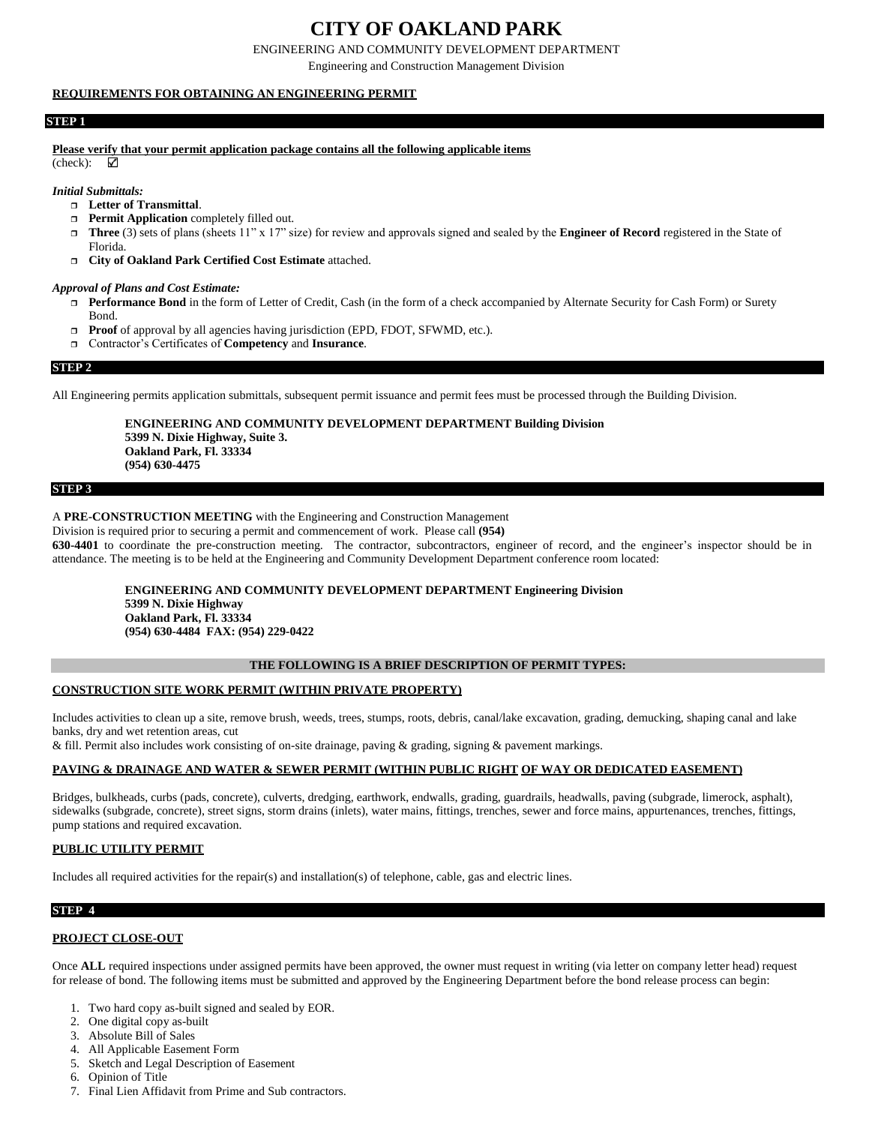# **CITY OF OAKLAND PARK**

ENGINEERING AND COMMUNITY DEVELOPMENT DEPARTMENT

Engineering and Construction Management Division

### **REQUIREMENTS FOR OBTAINING AN ENGINEERING PERMIT**

### **STEP 1**

**Please verify that your permit application package contains all the following applicable items**

(check):  $\checkmark$ 

*Initial Submittals:*

- **Letter of Transmittal**.
- **Permit Application** completely filled out.
- **Three** (3) sets of plans (sheets 11" x 17" size) for review and approvals signed and sealed by the **Engineer of Record** registered in the State of Florida.
- **City of Oakland Park Certified Cost Estimate** attached.

#### *Approval of Plans and Cost Estimate:*

- **Performance Bond** in the form of Letter of Credit, Cash (in the form of a check accompanied by Alternate Security for Cash Form) or Surety Bond.
- **Proof** of approval by all agencies having jurisdiction (EPD, FDOT, SFWMD, etc.).
- Contractor's Certificates of **Competency** and **Insurance**.

#### **STEP 2**

All Engineering permits application submittals, subsequent permit issuance and permit fees must be processed through the Building Division.

**ENGINEERING AND COMMUNITY DEVELOPMENT DEPARTMENT Building Division 5399 N. Dixie Highway, Suite 3. Oakland Park, Fl. 33334 (954) 630-4475** 

#### **STEP 3**

### A **PRE-CONSTRUCTION MEETING** with the Engineering and Construction Management

Division is required prior to securing a permit and commencement of work. Please call **(954)**

**630-4401** to coordinate the pre-construction meeting. The contractor, subcontractors, engineer of record, and the engineer's inspector should be in attendance. The meeting is to be held at the Engineering and Community Development Department conference room located:

**ENGINEERING AND COMMUNITY DEVELOPMENT DEPARTMENT Engineering Division 5399 N. Dixie Highway Oakland Park, Fl. 33334 (954) 630-4484 FAX: (954) 229-0422**

### **THE FOLLOWING IS A BRIEF DESCRIPTION OF PERMIT TYPES:**

### **CONSTRUCTION SITE WORK PERMIT (WITHIN PRIVATE PROPERTY)**

Includes activities to clean up a site, remove brush, weeds, trees, stumps, roots, debris, canal/lake excavation, grading, demucking, shaping canal and lake banks, dry and wet retention areas, cut

& fill. Permit also includes work consisting of on-site drainage, paving & grading, signing & pavement markings.

### **PAVING & DRAINAGE AND WATER & SEWER PERMIT (WITHIN PUBLIC RIGHT OF WAY OR DEDICATED EASEMENT)**

Bridges, bulkheads, curbs (pads, concrete), culverts, dredging, earthwork, endwalls, grading, guardrails, headwalls, paving (subgrade, limerock, asphalt), sidewalks (subgrade, concrete), street signs, storm drains (inlets), water mains, fittings, trenches, sewer and force mains, appurtenances, trenches, fittings, pump stations and required excavation.

### **PUBLIC UTILITY PERMIT**

Includes all required activities for the repair(s) and installation(s) of telephone, cable, gas and electric lines.

### **STEP 4**

### **PROJECT CLOSE-OUT**

Once **ALL** required inspections under assigned permits have been approved, the owner must request in writing (via letter on company letter head) request for release of bond. The following items must be submitted and approved by the Engineering Department before the bond release process can begin:

- 1. Two hard copy as-built signed and sealed by EOR.
- 2. One digital copy as-built
- 3. Absolute Bill of Sales
- 4. All Applicable Easement Form
- 5. Sketch and Legal Description of Easement
- 6. Opinion of Title
- 7. Final Lien Affidavit from Prime and Sub contractors.